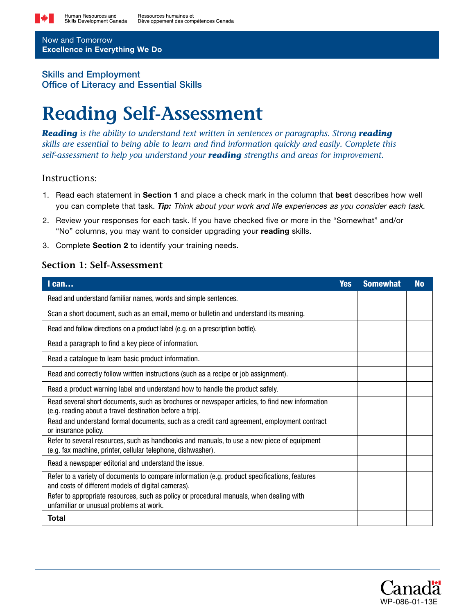

Now and Tomorrow Excellence in Everything We Do

## Skills and Employment Office of Literacy and Essential Skills

# **Reading Self-Assessment**

*Reading* is the ability to understand text written in sentences or paragraphs. Strong **reading** *skills are essential to being able to learn and find information quickly and easily. Complete this self-assessment to help you understand your reading strengths and areas for improvement.*

### Instructions:

- 1. Read each statement in Section 1 and place a check mark in the column that best describes how well you can complete that task. *Tip:* Think about your work and life experiences as you consider each task.
- 2. Review your responses for each task. If you have checked five or more in the "Somewhat" and/or "No" columns, you may want to consider upgrading your reading skills.
- 3. Complete Section 2 to identify your training needs.

## **Section 1: Self-Assessment**

| $l$ can                                                                                                                                                    | <b>Yes</b> | <b>Somewhat</b> | <b>No</b> |
|------------------------------------------------------------------------------------------------------------------------------------------------------------|------------|-----------------|-----------|
| Read and understand familiar names, words and simple sentences.                                                                                            |            |                 |           |
| Scan a short document, such as an email, memo or bulletin and understand its meaning.                                                                      |            |                 |           |
| Read and follow directions on a product label (e.g. on a prescription bottle).                                                                             |            |                 |           |
| Read a paragraph to find a key piece of information.                                                                                                       |            |                 |           |
| Read a catalogue to learn basic product information.                                                                                                       |            |                 |           |
| Read and correctly follow written instructions (such as a recipe or job assignment).                                                                       |            |                 |           |
| Read a product warning label and understand how to handle the product safely.                                                                              |            |                 |           |
| Read several short documents, such as brochures or newspaper articles, to find new information<br>(e.g. reading about a travel destination before a trip). |            |                 |           |
| Read and understand formal documents, such as a credit card agreement, employment contract<br>or insurance policy.                                         |            |                 |           |
| Refer to several resources, such as handbooks and manuals, to use a new piece of equipment<br>(e.g. fax machine, printer, cellular telephone, dishwasher). |            |                 |           |
| Read a newspaper editorial and understand the issue.                                                                                                       |            |                 |           |
| Refer to a variety of documents to compare information (e.g. product specifications, features<br>and costs of different models of digital cameras).        |            |                 |           |
| Refer to appropriate resources, such as policy or procedural manuals, when dealing with<br>unfamiliar or unusual problems at work.                         |            |                 |           |
| <b>Total</b>                                                                                                                                               |            |                 |           |

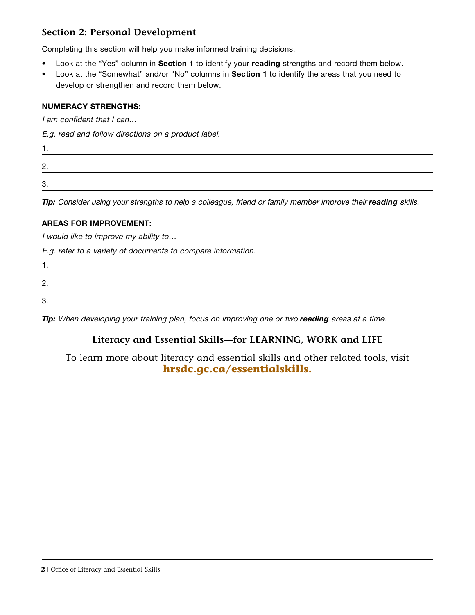# **Section 2: Personal Development**

Completing this section will help you make informed training decisions.

- Look at the "Yes" column in Section 1 to identify your reading strengths and record them below.
- Look at the "Somewhat" and/or "No" columns in Section 1 to identify the areas that you need to develop or strengthen and record them below.

#### NUMERACY STRENGTHS:

I am confident that I can…

E.g. read and follow directions on a product label.

| . .           |  |
|---------------|--|
| ∩<br><u>.</u> |  |
| ∩<br>J.       |  |

*Tip:* Consider using your strengths to help a colleague, friend or family member improve their *reading* skills.

#### AREAS FOR IMPROVEMENT:

I would like to improve my ability to…

E.g. refer to a variety of documents to compare information.

| ⌒       |  |  |
|---------|--|--|
| C<br>J. |  |  |

*Tip:* When developing your training plan, focus on improving one or two **reading** areas at a time.

# **Literacy and Essential Skills—for LEARNING, WORK and LIFE**

To learn more about literacy and essential skills and other related tools, visit **[hrsdc.gc.ca/essentialskills.](http://hrsdc.gc.ca/essentialskills)**